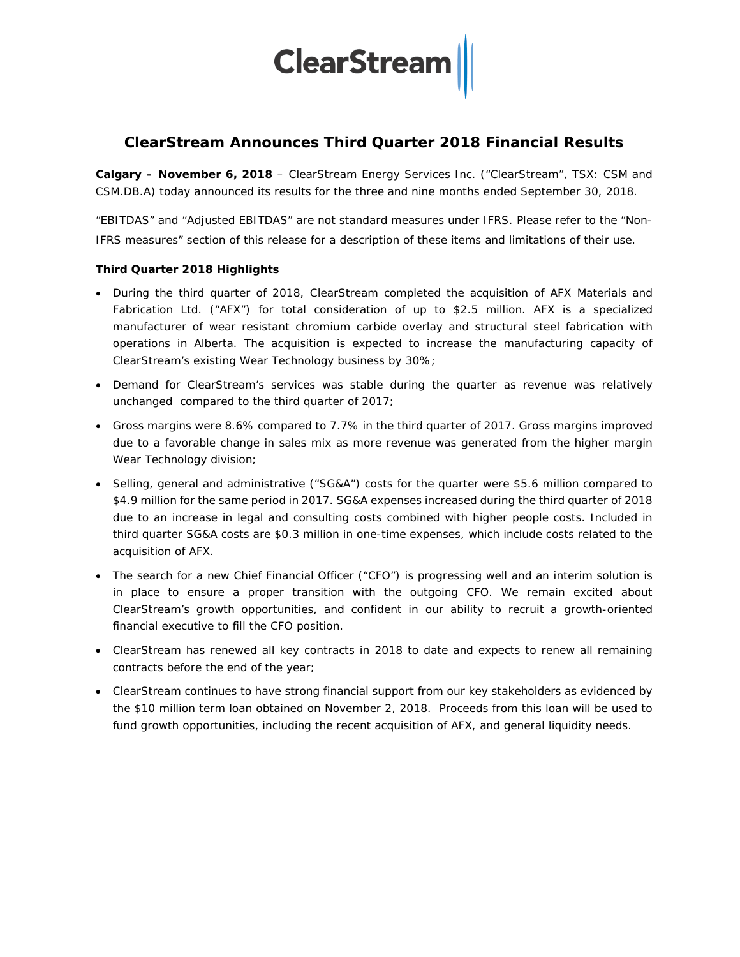

# **ClearStream Announces Third Quarter 2018 Financial Results**

**Calgary – November 6, 2018** – ClearStream Energy Services Inc. ("ClearStream", TSX: CSM and CSM.DB.A) today announced its results for the three and nine months ended September 30, 2018.

"EBITDAS" and "Adjusted EBITDAS" are not standard measures under IFRS. Please refer to the "Non-IFRS measures" section of this release for a description of these items and limitations of their use.

## **Third Quarter 2018 Highlights**

- During the third quarter of 2018, ClearStream completed the acquisition of AFX Materials and Fabrication Ltd. ("AFX") for total consideration of up to \$2.5 million. AFX is a specialized manufacturer of wear resistant chromium carbide overlay and structural steel fabrication with operations in Alberta. The acquisition is expected to increase the manufacturing capacity of ClearStream's existing Wear Technology business by 30%;
- Demand for ClearStream's services was stable during the quarter as revenue was relatively unchanged compared to the third quarter of 2017;
- Gross margins were 8.6% compared to 7.7% in the third quarter of 2017. Gross margins improved due to a favorable change in sales mix as more revenue was generated from the higher margin Wear Technology division;
- Selling, general and administrative ("SG&A") costs for the quarter were \$5.6 million compared to \$4.9 million for the same period in 2017. SG&A expenses increased during the third quarter of 2018 due to an increase in legal and consulting costs combined with higher people costs. Included in third quarter SG&A costs are \$0.3 million in one-time expenses, which include costs related to the acquisition of AFX.
- The search for a new Chief Financial Officer ("CFO") is progressing well and an interim solution is in place to ensure a proper transition with the outgoing CFO. We remain excited about ClearStream's growth opportunities, and confident in our ability to recruit a growth-oriented financial executive to fill the CFO position.
- ClearStream has renewed all key contracts in 2018 to date and expects to renew all remaining contracts before the end of the year;
- ClearStream continues to have strong financial support from our key stakeholders as evidenced by the \$10 million term loan obtained on November 2, 2018. Proceeds from this loan will be used to fund growth opportunities, including the recent acquisition of AFX, and general liquidity needs.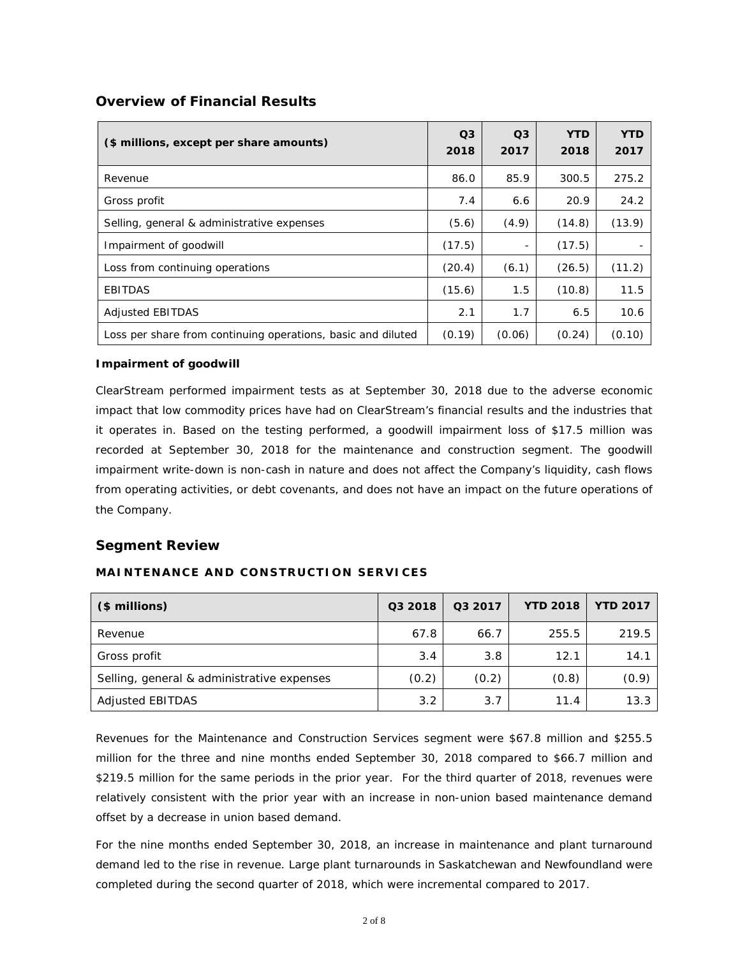## **Overview of Financial Results**

| (\$ millions, except per share amounts)                      | O <sub>3</sub><br>2018 | O <sub>3</sub><br>2017 | <b>YTD</b><br>2018 | YTD<br>2017 |
|--------------------------------------------------------------|------------------------|------------------------|--------------------|-------------|
| Revenue                                                      | 86.0                   | 85.9                   | 300.5              | 275.2       |
| Gross profit                                                 | 7.4                    | 6.6                    | 20.9               | 24.2        |
| Selling, general & administrative expenses                   | (5.6)                  | (4.9)                  | (14.8)             | (13.9)      |
| Impairment of goodwill                                       | (17.5)                 |                        | (17.5)             |             |
| Loss from continuing operations                              | (20.4)                 | (6.1)                  | (26.5)             | (11.2)      |
| <b>EBITDAS</b>                                               | (15.6)                 | 1.5                    | (10.8)             | 11.5        |
| <b>Adjusted EBITDAS</b>                                      | 2.1                    | 1.7                    | 6.5                | 10.6        |
| Loss per share from continuing operations, basic and diluted | (0.19)                 | (0.06)                 | (0.24)             | (0.10)      |

### **Impairment of goodwill**

ClearStream performed impairment tests as at September 30, 2018 due to the adverse economic impact that low commodity prices have had on ClearStream's financial results and the industries that it operates in. Based on the testing performed, a goodwill impairment loss of \$17.5 million was recorded at September 30, 2018 for the maintenance and construction segment. The goodwill impairment write-down is non-cash in nature and does not affect the Company's liquidity, cash flows from operating activities, or debt covenants, and does not have an impact on the future operations of the Company.

## **Segment Review**

## **MAINTENANCE AND CONSTRUCTION SERVICES**

| (\$ millions)                              | Q3 2018 | Q3 2017 | <b>YTD 2018</b> | <b>YTD 2017</b> |
|--------------------------------------------|---------|---------|-----------------|-----------------|
| Revenue                                    | 67.8    | 66.7    | 255.5           | 219.5           |
| Gross profit                               | 3.4     | 3.8     | 12.1            | 14.1            |
| Selling, general & administrative expenses | (0.2)   | (0.2)   | (0.8)           | (0.9)           |
| <b>Adjusted EBITDAS</b>                    | 3.2     | 3.7     | 11.4            | 13.3            |

Revenues for the Maintenance and Construction Services segment were \$67.8 million and \$255.5 million for the three and nine months ended September 30, 2018 compared to \$66.7 million and \$219.5 million for the same periods in the prior year. For the third quarter of 2018, revenues were relatively consistent with the prior year with an increase in non-union based maintenance demand offset by a decrease in union based demand.

For the nine months ended September 30, 2018, an increase in maintenance and plant turnaround demand led to the rise in revenue. Large plant turnarounds in Saskatchewan and Newfoundland were completed during the second quarter of 2018, which were incremental compared to 2017.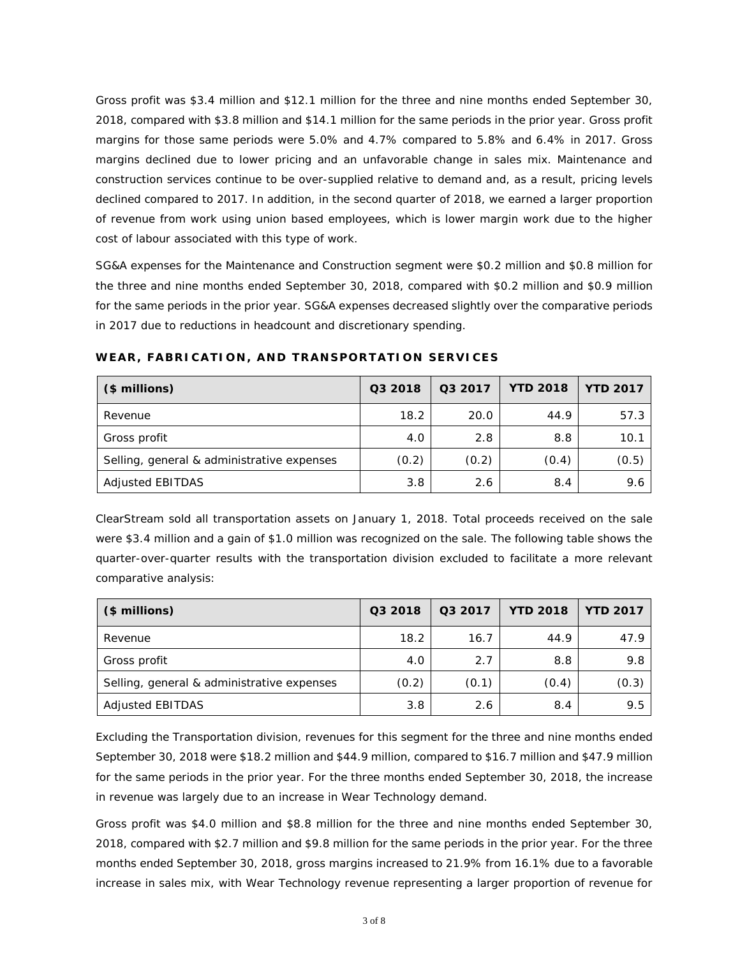Gross profit was \$3.4 million and \$12.1 million for the three and nine months ended September 30, 2018, compared with \$3.8 million and \$14.1 million for the same periods in the prior year. Gross profit margins for those same periods were 5.0% and 4.7% compared to 5.8% and 6.4% in 2017. Gross margins declined due to lower pricing and an unfavorable change in sales mix. Maintenance and construction services continue to be over-supplied relative to demand and, as a result, pricing levels declined compared to 2017. In addition, in the second quarter of 2018, we earned a larger proportion of revenue from work using union based employees, which is lower margin work due to the higher cost of labour associated with this type of work.

SG&A expenses for the Maintenance and Construction segment were \$0.2 million and \$0.8 million for the three and nine months ended September 30, 2018, compared with \$0.2 million and \$0.9 million for the same periods in the prior year. SG&A expenses decreased slightly over the comparative periods in 2017 due to reductions in headcount and discretionary spending.

| (\$ millions)                              | Q3 2018 | Q3 2017 | <b>YTD 2018</b> | <b>YTD 2017</b> |
|--------------------------------------------|---------|---------|-----------------|-----------------|
| Revenue                                    | 18.2    | 20.0    | 44.9            | 57.3            |
| Gross profit                               | 4.0     | 2.8     | 8.8             | 10.1            |
| Selling, general & administrative expenses | (0.2)   | (0.2)   | (0.4)           | (0.5)           |
| Adjusted EBITDAS                           | 3.8     | 2.6     | 8.4             | 9.6             |

**WEAR, FABRICATION, AND TRANSPORTATION SERVICES**

ClearStream sold all transportation assets on January 1, 2018. Total proceeds received on the sale were \$3.4 million and a gain of \$1.0 million was recognized on the sale. The following table shows the quarter-over-quarter results with the transportation division excluded to facilitate a more relevant comparative analysis:

| (\$ millions)                              | Q3 2018 | Q3 2017 | <b>YTD 2018</b> | <b>YTD 2017</b> |
|--------------------------------------------|---------|---------|-----------------|-----------------|
| Revenue                                    | 18.2    | 16.7    | 44.9            | 47.9            |
| Gross profit                               | 4.0     | 2.7     | 8.8             | 9.8             |
| Selling, general & administrative expenses | (0.2)   | (0.1)   | (0.4)           | (0.3)           |
| Adjusted EBITDAS                           | 3.8     | 2.6     | 8.4             | 9.5             |

Excluding the Transportation division, revenues for this segment for the three and nine months ended September 30, 2018 were \$18.2 million and \$44.9 million, compared to \$16.7 million and \$47.9 million for the same periods in the prior year. For the three months ended September 30, 2018, the increase in revenue was largely due to an increase in Wear Technology demand.

Gross profit was \$4.0 million and \$8.8 million for the three and nine months ended September 30, 2018, compared with \$2.7 million and \$9.8 million for the same periods in the prior year. For the three months ended September 30, 2018, gross margins increased to 21.9% from 16.1% due to a favorable increase in sales mix, with Wear Technology revenue representing a larger proportion of revenue for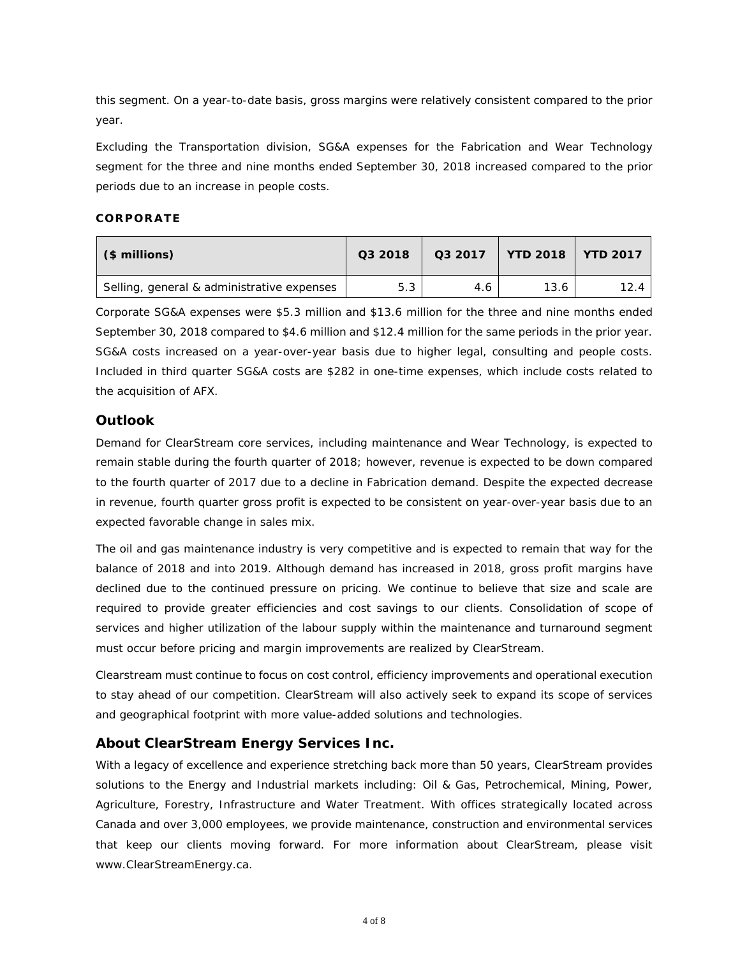this segment. On a year-to-date basis, gross margins were relatively consistent compared to the prior year.

Excluding the Transportation division, SG&A expenses for the Fabrication and Wear Technology segment for the three and nine months ended September 30, 2018 increased compared to the prior periods due to an increase in people costs.

## **CORPORATE**

| (\$ millions)                              | Q3 2018 |     | Q3 2017   YTD 2018   YTD 2017 |      |  |
|--------------------------------------------|---------|-----|-------------------------------|------|--|
| Selling, general & administrative expenses | 5.3     | 4.6 | 13.6                          | 12.4 |  |

Corporate SG&A expenses were \$5.3 million and \$13.6 million for the three and nine months ended September 30, 2018 compared to \$4.6 million and \$12.4 million for the same periods in the prior year. SG&A costs increased on a year-over-year basis due to higher legal, consulting and people costs. Included in third quarter SG&A costs are \$282 in one-time expenses, which include costs related to the acquisition of AFX.

## **Outlook**

Demand for ClearStream core services, including maintenance and Wear Technology, is expected to remain stable during the fourth quarter of 2018; however, revenue is expected to be down compared to the fourth quarter of 2017 due to a decline in Fabrication demand. Despite the expected decrease in revenue, fourth quarter gross profit is expected to be consistent on year-over-year basis due to an expected favorable change in sales mix.

The oil and gas maintenance industry is very competitive and is expected to remain that way for the balance of 2018 and into 2019. Although demand has increased in 2018, gross profit margins have declined due to the continued pressure on pricing. We continue to believe that size and scale are required to provide greater efficiencies and cost savings to our clients. Consolidation of scope of services and higher utilization of the labour supply within the maintenance and turnaround segment must occur before pricing and margin improvements are realized by ClearStream.

Clearstream must continue to focus on cost control, efficiency improvements and operational execution to stay ahead of our competition. ClearStream will also actively seek to expand its scope of services and geographical footprint with more value-added solutions and technologies.

## **About ClearStream Energy Services Inc.**

With a legacy of excellence and experience stretching back more than 50 years, ClearStream provides solutions to the Energy and Industrial markets including: Oil & Gas, Petrochemical, Mining, Power, Agriculture, Forestry, Infrastructure and Water Treatment. With offices strategically located across Canada and over 3,000 employees, we provide maintenance, construction and environmental services that keep our clients moving forward. For more information about ClearStream, please visit www.ClearStreamEnergy.ca.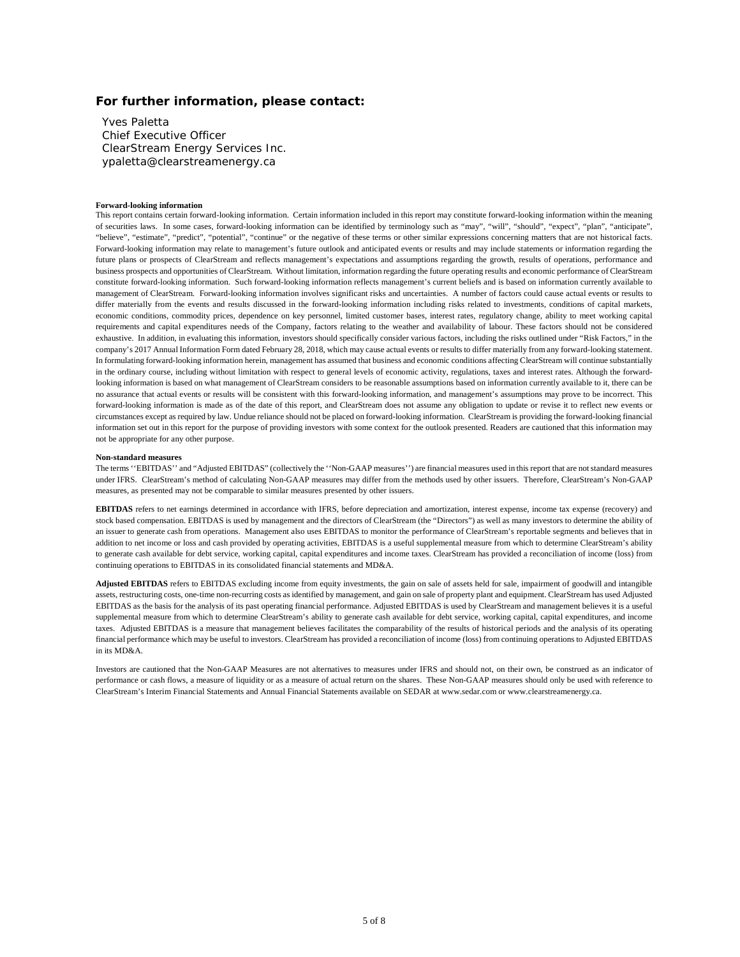#### **For further information, please contact:**

Yves Paletta Chief Executive Officer ClearStream Energy Services Inc. ypaletta@clearstreamenergy.ca

#### **Forward-looking information**

This report contains certain forward-looking information. Certain information included in this report may constitute forward-looking information within the meaning of securities laws. In some cases, forward-looking information can be identified by terminology such as "may", "will", "should", "expect", "plan", "anticipate", "believe", "estimate", "predict", "potential", "continue" or the negative of these terms or other similar expressions concerning matters that are not historical facts. Forward-looking information may relate to management's future outlook and anticipated events or results and may include statements or information regarding the future plans or prospects of ClearStream and reflects management's expectations and assumptions regarding the growth, results of operations, performance and business prospects and opportunities of ClearStream. Without limitation, information regarding the future operating results and economic performance of ClearStream constitute forward-looking information. Such forward-looking information reflects management's current beliefs and is based on information currently available to management of ClearStream. Forward-looking information involves significant risks and uncertainties. A number of factors could cause actual events or results to differ materially from the events and results discussed in the forward-looking information including risks related to investments, conditions of capital markets, economic conditions, commodity prices, dependence on key personnel, limited customer bases, interest rates, regulatory change, ability to meet working capital requirements and capital expenditures needs of the Company, factors relating to the weather and availability of labour. These factors should not be considered exhaustive. In addition, in evaluating this information, investors should specifically consider various factors, including the risks outlined under "Risk Factors," in the company's 2017 Annual Information Form dated February 28, 2018, which may cause actual events or results to differ materially from any forward-looking statement. In formulating forward-looking information herein, management has assumed that business and economic conditions affecting ClearStream will continue substantially in the ordinary course, including without limitation with respect to general levels of economic activity, regulations, taxes and interest rates. Although the forwardlooking information is based on what management of ClearStream considers to be reasonable assumptions based on information currently available to it, there can be no assurance that actual events or results will be consistent with this forward-looking information, and management's assumptions may prove to be incorrect. This forward-looking information is made as of the date of this report, and ClearStream does not assume any obligation to update or revise it to reflect new events or circumstances except as required by law. Undue reliance should not be placed on forward-looking information. ClearStream is providing the forward-looking financial information set out in this report for the purpose of providing investors with some context for the outlook presented. Readers are cautioned that this information may not be appropriate for any other purpose.

#### **Non-standard measures**

The terms ''EBITDAS'' and "Adjusted EBITDAS" (collectively the ''Non-GAAP measures'') are financial measures used in this report that are not standard measures under IFRS. ClearStream's method of calculating Non-GAAP measures may differ from the methods used by other issuers. Therefore, ClearStream's Non-GAAP measures, as presented may not be comparable to similar measures presented by other issuers.

**EBITDAS** refers to net earnings determined in accordance with IFRS, before depreciation and amortization, interest expense, income tax expense (recovery) and stock based compensation. EBITDAS is used by management and the directors of ClearStream (the "Directors") as well as many investors to determine the ability of an issuer to generate cash from operations. Management also uses EBITDAS to monitor the performance of ClearStream's reportable segments and believes that in addition to net income or loss and cash provided by operating activities, EBITDAS is a useful supplemental measure from which to determine ClearStream's ability to generate cash available for debt service, working capital, capital expenditures and income taxes. ClearStream has provided a reconciliation of income (loss) from continuing operations to EBITDAS in its consolidated financial statements and MD&A.

**Adjusted EBITDAS** refers to EBITDAS excluding income from equity investments, the gain on sale of assets held for sale, impairment of goodwill and intangible assets, restructuring costs, one-time non-recurring costs as identified by management, and gain on sale of property plant and equipment. ClearStream has used Adjusted EBITDAS as the basis for the analysis of its past operating financial performance. Adjusted EBITDAS is used by ClearStream and management believes it is a useful supplemental measure from which to determine ClearStream's ability to generate cash available for debt service, working capital, capital expenditures, and income taxes. Adjusted EBITDAS is a measure that management believes facilitates the comparability of the results of historical periods and the analysis of its operating financial performance which may be useful to investors. ClearStream has provided a reconciliation of income (loss) from continuing operations to Adjusted EBITDAS in its MD&A.

Investors are cautioned that the Non-GAAP Measures are not alternatives to measures under IFRS and should not, on their own, be construed as an indicator of performance or cash flows, a measure of liquidity or as a measure of actual return on the shares. These Non-GAAP measures should only be used with reference to ClearStream's Interim Financial Statements and Annual Financial Statements available on SEDAR a[t www.sedar.com](http://www.sedar.com/) or www.clearstreamenergy.ca.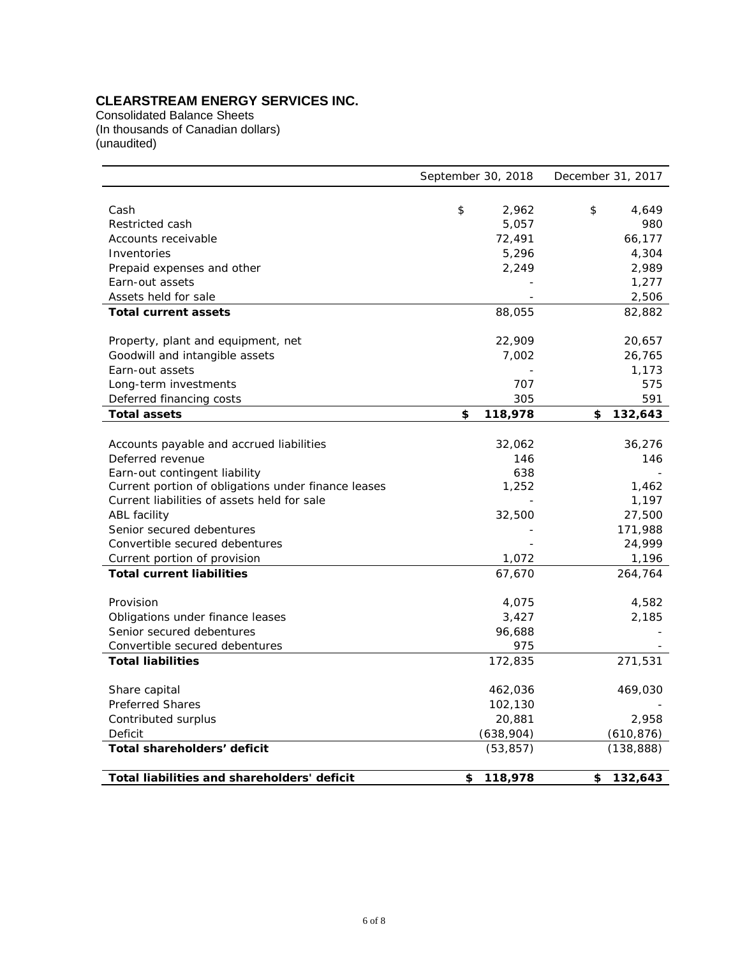# **CLEARSTREAM ENERGY SERVICES INC.**

Consolidated Balance Sheets (In thousands of Canadian dollars) (unaudited)

|                                                     | September 30, 2018 | December 31, 2017 |  |  |
|-----------------------------------------------------|--------------------|-------------------|--|--|
|                                                     |                    |                   |  |  |
| Cash                                                | \$<br>2,962        | \$<br>4,649       |  |  |
| Restricted cash                                     | 5,057              | 980               |  |  |
| Accounts receivable                                 | 72,491             | 66,177            |  |  |
| Inventories                                         | 5,296              | 4,304             |  |  |
| Prepaid expenses and other                          | 2,249              | 2,989             |  |  |
| Earn-out assets                                     |                    | 1,277             |  |  |
| Assets held for sale                                |                    | 2,506             |  |  |
| <b>Total current assets</b>                         | 88,055             | 82,882            |  |  |
|                                                     |                    |                   |  |  |
| Property, plant and equipment, net                  | 22,909             | 20,657            |  |  |
| Goodwill and intangible assets                      | 7,002              | 26,765            |  |  |
| Earn-out assets                                     |                    | 1,173             |  |  |
| Long-term investments                               | 707                | 575               |  |  |
| Deferred financing costs                            | 305                | 591               |  |  |
| <b>Total assets</b>                                 | \$<br>118,978      | 132,643<br>\$     |  |  |
|                                                     |                    |                   |  |  |
| Accounts payable and accrued liabilities            | 32,062             | 36,276            |  |  |
| Deferred revenue                                    | 146                | 146               |  |  |
| Earn-out contingent liability                       | 638                |                   |  |  |
| Current portion of obligations under finance leases | 1,252              | 1,462             |  |  |
| Current liabilities of assets held for sale         |                    | 1,197             |  |  |
| ABL facility                                        | 32,500             | 27,500            |  |  |
| Senior secured debentures                           |                    | 171,988           |  |  |
| Convertible secured debentures                      |                    | 24,999            |  |  |
| Current portion of provision                        | 1,072              | 1,196             |  |  |
| <b>Total current liabilities</b>                    | 67,670             | 264,764           |  |  |
|                                                     |                    |                   |  |  |
| Provision                                           | 4,075              | 4,582             |  |  |
| Obligations under finance leases                    | 3,427              | 2,185             |  |  |
| Senior secured debentures                           | 96,688             |                   |  |  |
| Convertible secured debentures                      | 975                |                   |  |  |
| <b>Total liabilities</b>                            | 172,835            | 271,531           |  |  |
|                                                     |                    |                   |  |  |
| Share capital                                       | 462,036            | 469,030           |  |  |
| <b>Preferred Shares</b>                             | 102,130            |                   |  |  |
| Contributed surplus                                 | 20,881             | 2,958             |  |  |
| Deficit                                             | (638,904)          | (610, 876)        |  |  |
| Total shareholders' deficit                         | (53, 857)          | (138, 888)        |  |  |
| Total liabilities and shareholders' deficit         | \$<br>118,978      | 132,643<br>\$     |  |  |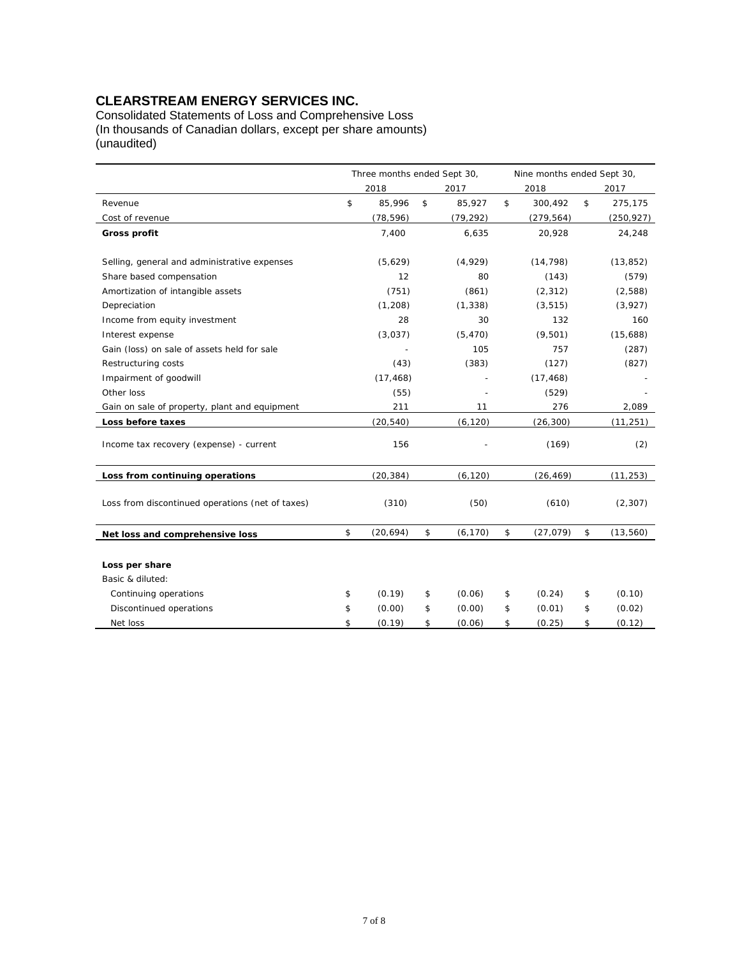# **CLEARSTREAM ENERGY SERVICES INC.**

Consolidated Statements of Loss and Comprehensive Loss (In thousands of Canadian dollars, except per share amounts) (unaudited)

|                                                  | Three months ended Sept 30, |    | Nine months ended Sept 30, |    |            |    |            |
|--------------------------------------------------|-----------------------------|----|----------------------------|----|------------|----|------------|
|                                                  | 2018                        |    | 2017                       |    | 2018       |    | 2017       |
| Revenue                                          | \$<br>85,996                | \$ | 85,927                     | \$ | 300,492    | \$ | 275,175    |
| Cost of revenue                                  | (78, 596)                   |    | (79, 292)                  |    | (279, 564) |    | (250, 927) |
| <b>Gross profit</b>                              | 7,400                       |    | 6,635                      |    | 20,928     |    | 24,248     |
|                                                  |                             |    |                            |    |            |    |            |
| Selling, general and administrative expenses     | (5,629)                     |    | (4,929)                    |    | (14, 798)  |    | (13, 852)  |
| Share based compensation                         | 12                          |    | 80                         |    | (143)      |    | (579)      |
| Amortization of intangible assets                | (751)                       |    | (861)                      |    | (2, 312)   |    | (2,588)    |
| Depreciation                                     | (1, 208)                    |    | (1, 338)                   |    | (3, 515)   |    | (3,927)    |
| Income from equity investment                    | 28                          |    | 30                         |    | 132        |    | 160        |
| Interest expense                                 | (3,037)                     |    | (5, 470)                   |    | (9,501)    |    | (15,688)   |
| Gain (loss) on sale of assets held for sale      |                             |    | 105                        |    | 757        |    | (287)      |
| Restructuring costs                              | (43)                        |    | (383)                      |    | (127)      |    | (827)      |
| Impairment of goodwill                           | (17, 468)                   |    |                            |    | (17, 468)  |    |            |
| Other loss                                       | (55)                        |    |                            |    | (529)      |    |            |
| Gain on sale of property, plant and equipment    | 211                         |    | 11                         |    | 276        |    | 2,089      |
| Loss before taxes                                | (20, 540)                   |    | (6, 120)                   |    | (26, 300)  |    | (11, 251)  |
| Income tax recovery (expense) - current          | 156                         |    |                            |    | (169)      |    | (2)        |
| Loss from continuing operations                  | (20, 384)                   |    | (6, 120)                   |    | (26, 469)  |    | (11, 253)  |
| Loss from discontinued operations (net of taxes) | (310)                       |    | (50)                       |    | (610)      |    | (2, 307)   |
| Net loss and comprehensive loss                  | \$<br>(20, 694)             | \$ | (6, 170)                   | \$ | (27, 079)  | \$ | (13, 560)  |
|                                                  |                             |    |                            |    |            |    |            |
| Loss per share                                   |                             |    |                            |    |            |    |            |
| Basic & diluted:                                 |                             |    |                            |    |            |    |            |
| Continuing operations                            | \$<br>(0.19)                | \$ | (0.06)                     | \$ | (0.24)     | \$ | (0.10)     |
| Discontinued operations                          | \$<br>(0.00)                | \$ | (0.00)                     | \$ | (0.01)     | \$ | (0.02)     |
| Net loss                                         | \$<br>(0.19)                | \$ | (0.06)                     | \$ | (0.25)     | \$ | (0.12)     |